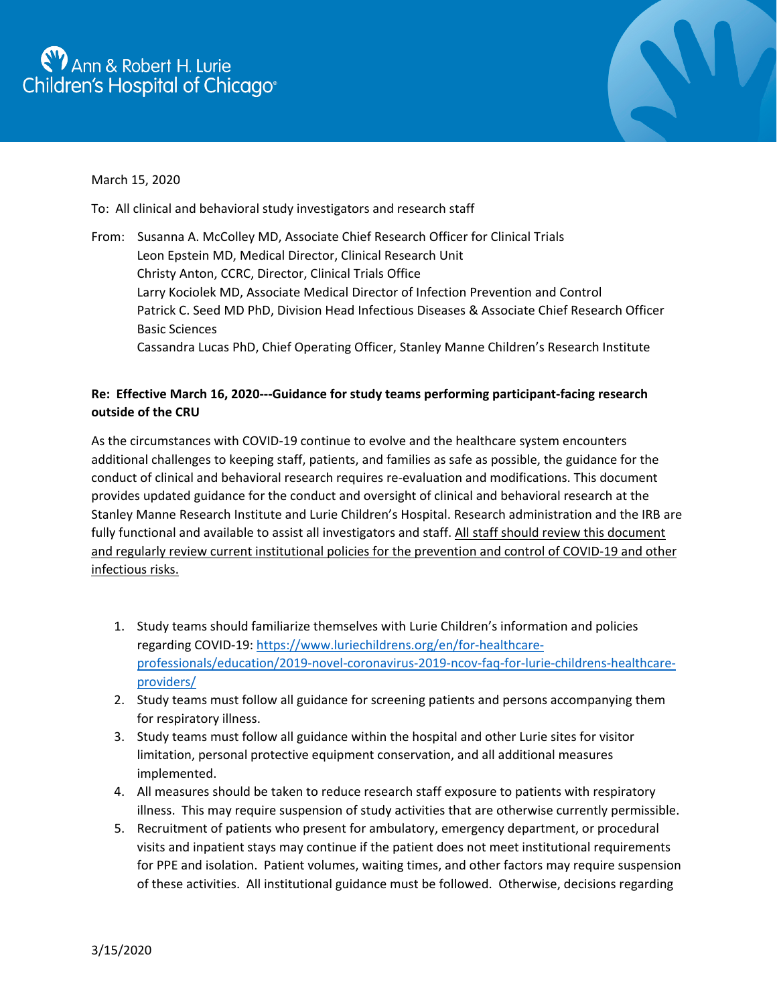## $\eta$  Ann & Robert H. Lurie Children's Hospital of Chicago®



## March 15, 2020

To: All clinical and behavioral study investigators and research staff

From: Susanna A. McColley MD, Associate Chief Research Officer for Clinical Trials Leon Epstein MD, Medical Director, Clinical Research Unit Christy Anton, CCRC, Director, Clinical Trials Office Larry Kociolek MD, Associate Medical Director of Infection Prevention and Control Patrick C. Seed MD PhD, Division Head Infectious Diseases & Associate Chief Research Officer Basic Sciences Cassandra Lucas PhD, Chief Operating Officer, Stanley Manne Children's Research Institute

## **Re: Effective March 16, 2020---Guidance for study teams performing participant-facing research outside of the CRU**

As the circumstances with COVID-19 continue to evolve and the healthcare system encounters additional challenges to keeping staff, patients, and families as safe as possible, the guidance for the conduct of clinical and behavioral research requires re-evaluation and modifications. This document provides updated guidance for the conduct and oversight of clinical and behavioral research at the Stanley Manne Research Institute and Lurie Children's Hospital. Research administration and the IRB are fully functional and available to assist all investigators and staff. All staff should review this document and regularly review current institutional policies for the prevention and control of COVID-19 and other infectious risks.

- 1. Study teams should familiarize themselves with Lurie Children's information and policies regarding COVID-19: [https://www.luriechildrens.org/en/for-healthcare](https://www.luriechildrens.org/en/for-healthcare-professionals/education/2019-novel-coronavirus-2019-ncov-faq-for-lurie-childrens-healthcare-providers/)[professionals/education/2019-novel-coronavirus-2019-ncov-faq-for-lurie-childrens-healthcare](https://www.luriechildrens.org/en/for-healthcare-professionals/education/2019-novel-coronavirus-2019-ncov-faq-for-lurie-childrens-healthcare-providers/)[providers/](https://www.luriechildrens.org/en/for-healthcare-professionals/education/2019-novel-coronavirus-2019-ncov-faq-for-lurie-childrens-healthcare-providers/)
- 2. Study teams must follow all guidance for screening patients and persons accompanying them for respiratory illness.
- 3. Study teams must follow all guidance within the hospital and other Lurie sites for visitor limitation, personal protective equipment conservation, and all additional measures implemented.
- 4. All measures should be taken to reduce research staff exposure to patients with respiratory illness. This may require suspension of study activities that are otherwise currently permissible.
- 5. Recruitment of patients who present for ambulatory, emergency department, or procedural visits and inpatient stays may continue if the patient does not meet institutional requirements for PPE and isolation. Patient volumes, waiting times, and other factors may require suspension of these activities. All institutional guidance must be followed. Otherwise, decisions regarding